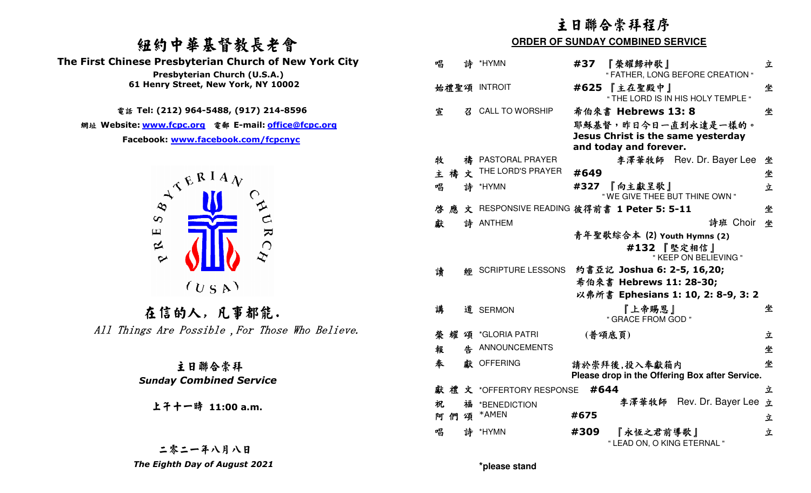# 紐約中華基督教長老會



上午十一時 **11:00 a.m.**

# 二零二一年八月八日

|                                                                                        | 主日聯合崇拜程序                                                                          |            |  |  |
|----------------------------------------------------------------------------------------|-----------------------------------------------------------------------------------|------------|--|--|
| 纽约中華基督教長老會                                                                             | <b>ORDER OF SUNDAY COMBINED SERVICE</b>                                           |            |  |  |
| The First Chinese Presbyterian Church of New York City                                 | 唱<br>*HYMN<br>『榮耀歸神歌』<br>詩<br>#37                                                 | 立          |  |  |
| Presbyterian Church (U.S.A.)                                                           | " FATHER, LONG BEFORE CREATION "                                                  |            |  |  |
| 61 Henry Street, New York, NY 10002                                                    | 始禮聖頌 INTROIT<br>#625 【主在聖殿中】<br>" THE LORD IS IN HIS HOLY TEMPLE "                | 坐          |  |  |
| 電話 Tel: (212) 964-5488, (917) 214-8596                                                 | 希伯來書 Hebrews 13:8<br>宣<br><b>CALL TO WORSHIP</b><br>긱.                            | 坐          |  |  |
| 網址 Website: www.fcpc.org 電郵 E-mail: office@fcpc.org                                    | 耶穌基督,昨日今日一直到永遠是一樣的。                                                               |            |  |  |
| Facebook: www.facebook.com/fcpcnyc                                                     | Jesus Christ is the same yesterday<br>and today and forever.                      |            |  |  |
|                                                                                        | 禱 PASTORAL PRAYER<br>李澤華牧師 Rev. Dr. Bayer Lee 坐<br>牧                              |            |  |  |
|                                                                                        | 主 禱 文 THE LORD'S PRAYER<br>#649                                                   | 坐          |  |  |
| $A^{\mathfrak{C}}$ $\stackrel{\mathbb{R}^{\mathrm{I}} A \mathcal{N}}{\longrightarrow}$ | 唱<br>#327 『向主獻呈歌』<br>詩<br>*HYMN<br>" WE GIVE THEE BUT THINE OWN "                 | 立          |  |  |
| $\infty$                                                                               | 文 RESPONSIVE READING 彼得前書 1 Peter 5: 5-11<br>啓<br>應                               | 坐          |  |  |
| $\infty$                                                                               | 詩 ANTHEM<br>獻                                                                     | 詩班 Choir 坐 |  |  |
| URC<br>$\mathbf \mu$<br>$\approx$<br>$\sim$                                            | 青年聖歌綜合本 (2) Youth Hymns (2)<br>#132 『堅定相信』<br>" KEEP ON BELIEVING "               |            |  |  |
|                                                                                        | 約書亞記 Joshua 6: 2-5, 16,20;<br><b>88 SCRIPTURE LESSONS</b><br>讀                    |            |  |  |
| (U S A)                                                                                | 希伯來書 Hebrews 11: 28-30;<br>以弗所書 Ephesians 1: 10, 2: 8-9, 3: 2                     |            |  |  |
| 在信的人,凡事都能.                                                                             | 講<br>『上帝賜恩』<br>道 SERMON                                                           | 坐          |  |  |
|                                                                                        | " GRACE FROM GOD "                                                                |            |  |  |
| All Things Are Possible, For Those Who Believe.                                        | 頌 *GLORIA PATRI<br>(普頌底頁)<br>榮耀                                                   | 立          |  |  |
|                                                                                        | 告 ANNOUNCEMENTS<br>報                                                              | 坐          |  |  |
| 主日聯合崇拜<br><b>Sunday Combined Service</b>                                               | 奉<br>獻 OFFERING<br>請於崇拜後,投入奉獻箱内<br>Please drop in the Offering Box after Service. | 坐          |  |  |
|                                                                                        | 獻禮文 *OFFERTORY RESPONSE #644                                                      | 立          |  |  |
| 上午十一時 11:00 a.m.                                                                       | 李澤華牧師 Rev. Dr. Bayer Lee 立<br>祝<br>福<br>*BENEDICTION                              |            |  |  |
|                                                                                        | #675<br>頌 *AMEN<br>阿們                                                             | 立          |  |  |
|                                                                                        | 詩 *HYMN<br>唱<br>#309<br>『永恆之君前導歌』<br>" LEAD ON, O KING ETERNAL "                  | 立          |  |  |
| 二零二一年八月八日                                                                              |                                                                                   |            |  |  |
| The Eighth Day of August 2021                                                          | *please stand                                                                     |            |  |  |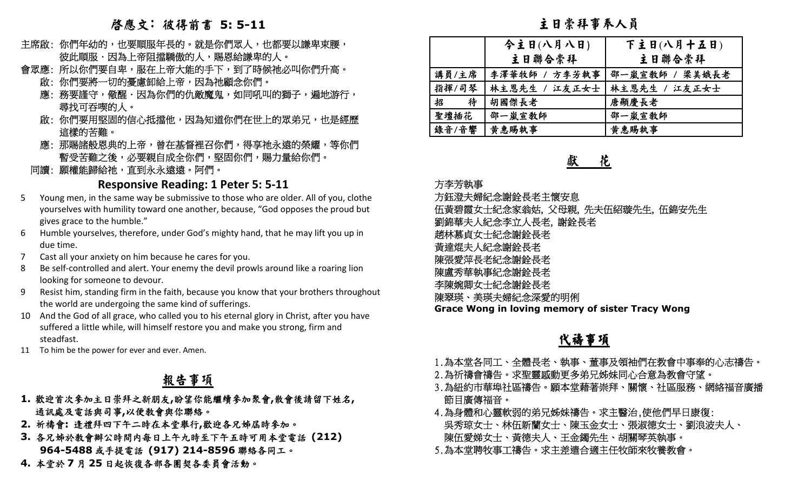# 啟應文: 彼得前書 **5: 5-11**

- 主席啟:你們年幼的,也要順服年長的。就是你們眾人,也都要以謙卑束腰, 彼此順服.因為上帝阻擋驕傲的人,賜恩給謙卑的人。
- 會眾應: 所以你們要自卑,服在上帝大能的手下,到了時候祂必叫你們升高。
	- 啟: 你們要將一切的憂慮卸給上帝,因為祂顧念你們。」
	- 應:務要謹守,儆醒.因為你們的仇敵魔鬼,如同吼叫的獅子,遍地游行, 尋找可吞喫的人。
	- 啟:你們要用堅固的信心抵擋他,因為知道你們在世上的眾弟兄,也是經歷。 這樣的苦難。
	- 應:那賜諸般恩典的上帝,曾在基督裡召你們,得享祂永遠的榮耀,等你們 暫受苦難之後,必要親自成全你們,堅固你們,賜力量給你們。」
- 同讀: 願權能歸給祂,直到永永遠遠。阿們。

### **Responsive Reading: 1 Peter 5: 5-11**

- 5 Young men, in the same way be submissive to those who are older. All of you, clothe yourselves with humility toward one another, because, "God opposes the proud butgives grace to the humble."
- 6 Humble yourselves, therefore, under God's mighty hand, that he may lift you up in due time.
- 7 Cast all your anxiety on him because he cares for you.
- 8 Be self-controlled and alert. Your enemy the devil prowls around like a roaring lion looking for someone to devour.
- Resist him, standing firm in the faith, because you know that your brothers throughout the world are undergoing the same kind of sufferings.
- 10 And the God of all grace, who called you to his eternal glory in Christ, after you have suffered a little while, will himself restore you and make you strong, firm and steadfast.
- 11 To him be the power for ever and ever. Amen.

# 報告事項

- **1.**歡迎首次參加主日崇拜之新朋友**,**盼望你能繼續參加聚會**,**散會後請留下姓名**,** 通訊處及電話與司事**,**<sup>以</sup>便教會與你聯絡。
- **2.** 祈禱會**:** 逢禮拜四下午二時在本堂舉行**,**歡迎各兄姊屆時參加。
- **3.** 各兄姊於教會辦公時間內每日上午九時至下午五時可用本堂電話 **(212) 964-5488**或手提電話 **(917) 214-8596**聯絡各同工。
- **4.** 本堂於**7**月 **<sup>25</sup>** 日起恢復各部各團契各委員會活動。

主日崇拜事奉人員

|        | 今主日(八月八日)     | 下主日(八月十五日)     |
|--------|---------------|----------------|
|        | 主日聯合崇拜        | 主日聯合崇拜         |
| 講員/主席  | 李澤華牧師 / 方李芳執事 | 邵一嵐宣敎師 / 梁美娥長老 |
| 指揮/司琴  | 林主恩先生 / 江友正女士 | 林主恩先生 / 江友正女士  |
| 招<br>待 | 胡國傑長老         | 唐顯慶長老          |
| 聖壇插花   | 邵一嵐宣教師        | 邵一嵐宣教師         |
| 錄音/音響  | 黄惠賜執事         | 黄惠賜執事          |

### 獻 花

#### 方李芳執事

 方鈺澄夫婦紀念謝銓長老主懷安息 伍黃碧霞女士紀念家翁姑, 父母親, 先夫伍紹璇先生, 伍錦安先生 劉錦華夫人紀念李立人長老, 謝銓長老 趙林慕貞女士紀念謝銓長老 黃達焜夫人紀念謝銓長老 陳張愛萍長老紀念謝銓長老 陳盧秀華執事紀念謝銓長老 李陳婉卿女士紀念謝銓長老 陳翠瑛、美瑛夫婦紀念深愛的明俐 **Grace Wong in loving memory of sister Tracy Wong** 

## 代禱事項

- 1.為本堂各同工、全體長老、執事、董事及領袖們在教會中事奉的心志禱告。
- 2.為祈禱會禱告。求聖靈感動更多弟兄姊妹同心合意為教會守望。
- 3.為紐約市華埠社區禱告。願本堂藉著崇拜、關懷、社區服務、網絡福音廣播 節目廣傳福音。
- 4.為身體和心靈軟弱的弟兄姊妹禱告。求主醫治,使他們早日康復: 吳秀琼女士、林伍新蘭女士、陳玉金女士、張淑德女士、劉浪波夫人、 陳伍愛娣女士、黃德夫人、王金鐲先生、胡關琴英執事。
- 5.為本堂聘牧事工禱告。求主差遣合適主任牧師來牧養教會。